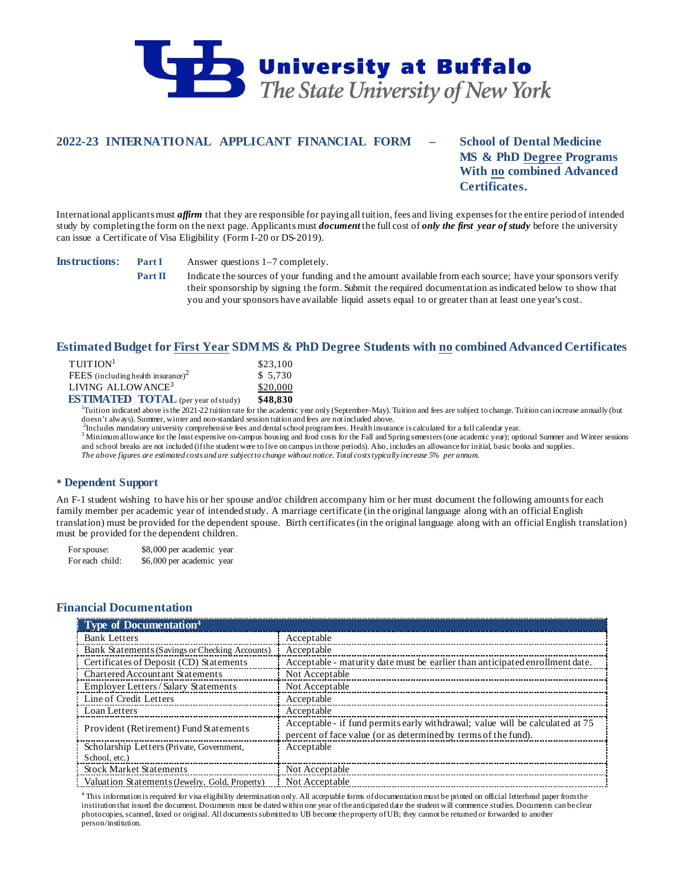

# **2022-23 INTERNATIONAL APPLICANT FINANCIAL FORM – School of Dental Medicine**

**MS & PhD Degree Programs With no combined Advanced Certificates.**

International applicants must *affirm* that they are responsible for paying all tuition, fees and living expenses for the entire period of intended study by completing the form on the next page. Applicants must *document* the full cost of *only the first year of study* before the university can issue a Certificate of Visa Eligibility (Form I-20 or DS-2019).

**Instructions**: **Part I** Answer questions 1–7 completely.

**Part II** Indicate the sources of your funding and the amount available from each source; have your sponsors verify their sponsorship by signing the form. Submit the required documentation as indicated below to show that you and your sponsors have available liquid assets equal to or greater than at least one year's cost.

## **Estimated Budget for First Year SDM MS & PhD Degree Students with no combined Advanced Certificates**

| THITION <sup>1</sup>                       | \$23,100 |
|--------------------------------------------|----------|
| FEES (including health insurance) $2$      | \$5.730  |
| LIVING ALLOWANCE <sup>3</sup>              | \$20,000 |
| <b>ESTIMATED TOTAL</b> (per year of study) | \$48,830 |

**ESTIMATED TOTAL** (per year of study) \$48,830<br><sup>1</sup>Tuition indicated above is the 2021-22 tuition rate for the academic year only (September–May). Tuition and fees are subject to change. Tuition can increase annually (but

doesn't always). Summer, winter and non-standard session tuition and fees are not included above.<br><sup>2</sup>Includes mandatory university comprehensive fees and dental school program fees. Health insurance is calculated for a ful

 $^3$  Minimum allowance for the least expensive on-campus housing and food costs for the Fall and Spring semesters (one academic year); optional Summer and Winter sessions and school breaks are not included (if the student were to live on campus in those periods). Also, includes an allowance for initial, basic books and supplies. *The above figures are estimated costs and are subject to change without notice. Total costs typically increase 5% per annum.*

## **Dependent Support**

An F-1 student wishing to have his or her spouse and/or children accompany him or her must document the following amounts for each family member per academic year of intended study. A marriage certificate (in the original language along with an official English translation) must be provided for the dependent spouse. Birth certificates (in the original language along with an official English translation) must be provided for the dependent children.

For spouse: \$8,000 per academic year For each child: \$6,000 per academic year

# **Financial Documentation**

| <b>Type of Documentation</b> <sup>4</sup>      |                                                                               |
|------------------------------------------------|-------------------------------------------------------------------------------|
| <b>Bank Letters</b>                            | Acceptable                                                                    |
| Bank Statements (Savings or Checking Accounts) | Acceptable                                                                    |
| Certificates of Deposit (CD) Statements        | Acceptable - maturity date must be earlier than anticipated enrollment date.  |
| Chartered Accountant Statements                | Not Acceptable                                                                |
| Employer Letters / Salary Statements           | Not Acceptable                                                                |
| Line of Credit Letters                         | Acceptable                                                                    |
| Loan Letters                                   | Acceptable                                                                    |
| Provident (Retirement) Fund Statements         | Acceptable - if fund permits early withdrawal; value will be calculated at 75 |
|                                                | percent of face value (or as determined by terms of the fund).                |
| Scholarship Letters (Private, Government,      | Acceptable                                                                    |
| School, etc.)                                  |                                                                               |
| <b>Stock Market Statements</b>                 | Not Acceptable                                                                |
| Valuation Statements (Jewelry, Gold, Property) | Not Acceptable                                                                |

<sup>4</sup> This information is required for visa eligibility determination only. All acceptable forms of documentation must be printed on official letterhead paper from the institution that issued the document. Documents must be dated within one year of the anticipated date the student will commence studies. Documents can be clear photocopies, scanned, faxed or original. All documents submitted to UB become the property of UB; they cannot be returned or forwarded to another person/institution.